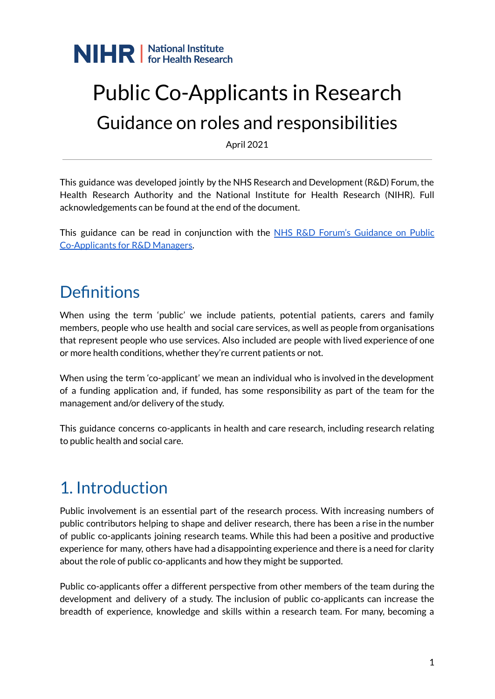

## Public Co-Applicants in Research Guidance on roles and responsibilities

April 2021

This guidance was developed jointly by the NHS Research and Development (R&D) Forum, the Health Research Authority and the National Institute for Health Research (NIHR). Full acknowledgements can be found at the end of the document.

This guidance can be read in conjunction with the NHS R&D Forum's [Guidance](https://www.rdforum.nhs.uk/content/wp-content/uploads/2019/01/FINAL-Jan-2019-SUC-Co-applicancy-Project-lead-and-Collaborator-Guidelines-for-Publication.pdf) on Public [Co-Applicants](https://www.rdforum.nhs.uk/content/wp-content/uploads/2019/01/FINAL-Jan-2019-SUC-Co-applicancy-Project-lead-and-Collaborator-Guidelines-for-Publication.pdf) for R&D Managers.

### **Definitions**

When using the term 'public' we include patients, potential patients, carers and family members, people who use health and social care services, as well as people from organisations that represent people who use services. Also included are people with lived experience of one or more health conditions, whether they're current patients or not.

When using the term 'co-applicant' we mean an individual who is involved in the development of a funding application and, if funded, has some responsibility as part of the team for the management and/or delivery of the study.

This guidance concerns co-applicants in health and care research, including research relating to public health and social care.

### 1. Introduction

Public involvement is an essential part of the research process. With increasing numbers of public contributors helping to shape and deliver research, there has been a rise in the number of public co-applicants joining research teams. While this had been a positive and productive experience for many, others have had a disappointing experience and there is a need for clarity about the role of public co-applicants and how they might be supported.

Public co-applicants offer a different perspective from other members of the team during the development and delivery of a study. The inclusion of public co-applicants can increase the breadth of experience, knowledge and skills within a research team. For many, becoming a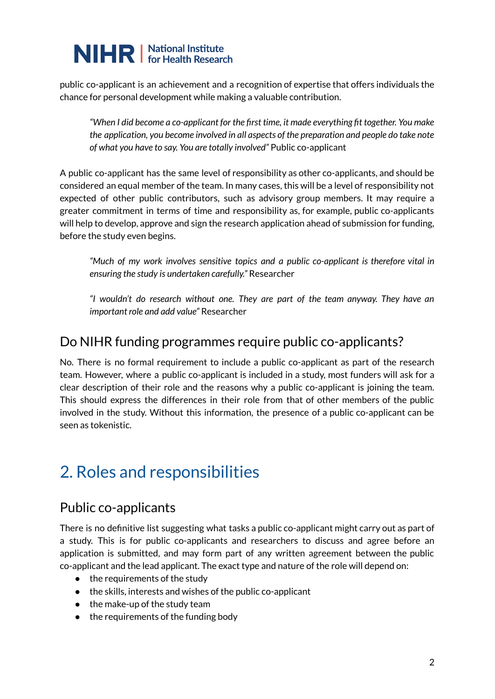public co-applicant is an achievement and a recognition of expertise that offers individuals the chance for personal development while making a valuable contribution.

*"When I did become a co-applicant for the first time, it made everything fit together. You make the application, you become involved in all aspects of the preparation and people do take note of what you have to say. You are totally involved"* Public co-applicant

A public co-applicant has the same level of responsibility as other co-applicants, and should be considered an equal member of the team. In many cases, this will be a level of responsibility not expected of other public contributors, such as advisory group members. It may require a greater commitment in terms of time and responsibility as, for example, public co-applicants will help to develop, approve and sign the research application ahead of submission for funding, before the study even begins.

*"Much of my work involves sensitive topics and a public co-applicant is therefore vital in ensuring the study is undertaken carefully."* Researcher

*"I wouldn't do research without one. They are part of the team anyway. They have an important role and add value"* Researcher

### Do NIHR funding programmes require public co-applicants?

No. There is no formal requirement to include a public co-applicant as part of the research team. However, where a public co-applicant is included in a study, most funders will ask for a clear description of their role and the reasons why a public co-applicant is joining the team. This should express the differences in their role from that of other members of the public involved in the study. Without this information, the presence of a public co-applicant can be seen as tokenistic.

### 2. Roles and responsibilities

### Public co-applicants

There is no definitive list suggesting what tasks a public co-applicant might carry out as part of a study. This is for public co-applicants and researchers to discuss and agree before an application is submitted, and may form part of any written agreement between the public co-applicant and the lead applicant. The exact type and nature of the role will depend on:

- $\bullet$  the requirements of the study
- the skills, interests and wishes of the public co-applicant
- $\bullet$  the make-up of the study team
- the requirements of the funding body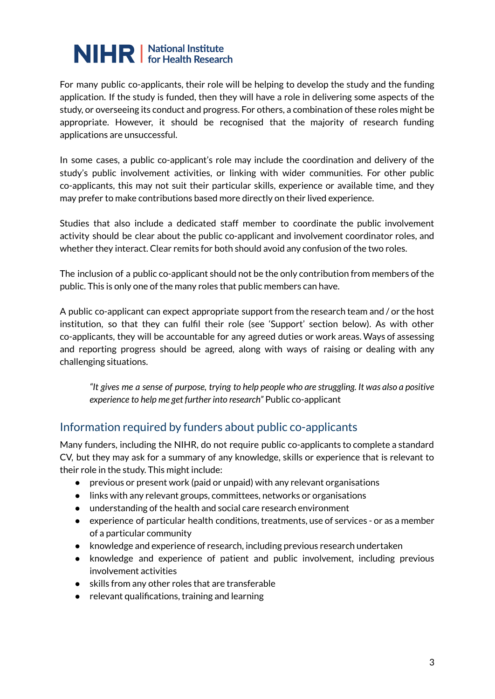For many public co-applicants, their role will be helping to develop the study and the funding application. If the study is funded, then they will have a role in delivering some aspects of the study, or overseeing its conduct and progress. For others, a combination of these roles might be appropriate. However, it should be recognised that the majority of research funding applications are unsuccessful.

In some cases, a public co-applicant's role may include the coordination and delivery of the study's public involvement activities, or linking with wider communities. For other public co-applicants, this may not suit their particular skills, experience or available time, and they may prefer to make contributions based more directly on their lived experience.

Studies that also include a dedicated staff member to coordinate the public involvement activity should be clear about the public co-applicant and involvement coordinator roles, and whether they interact. Clear remits for both should avoid any confusion of the two roles.

The inclusion of a public co-applicant should not be the only contribution from members of the public. This is only one of the many roles that public members can have.

A public co-applicant can expect appropriate support from the research team and / or the host institution, so that they can fulfil their role (see 'Support' section below). As with other co-applicants, they will be accountable for any agreed duties or work areas. Ways of assessing and reporting progress should be agreed, along with ways of raising or dealing with any challenging situations.

"It gives me a sense of purpose, trying to help people who are struggling. It was also a positive *experience to help me get further into research"* Public co-applicant

#### Information required by funders about public co-applicants

Many funders, including the NIHR, do not require public co-applicants to complete a standard CV, but they may ask for a summary of any knowledge, skills or experience that is relevant to their role in the study. This might include:

- previous or present work (paid or unpaid) with any relevant organisations
- links with any relevant groups, committees, networks or organisations
- understanding of the health and social care research environment
- experience of particular health conditions, treatments, use of services or as a member of a particular community
- knowledge and experience of research, including previous research undertaken
- knowledge and experience of patient and public involvement, including previous involvement activities
- skills from any other roles that are transferable
- relevant qualifications, training and learning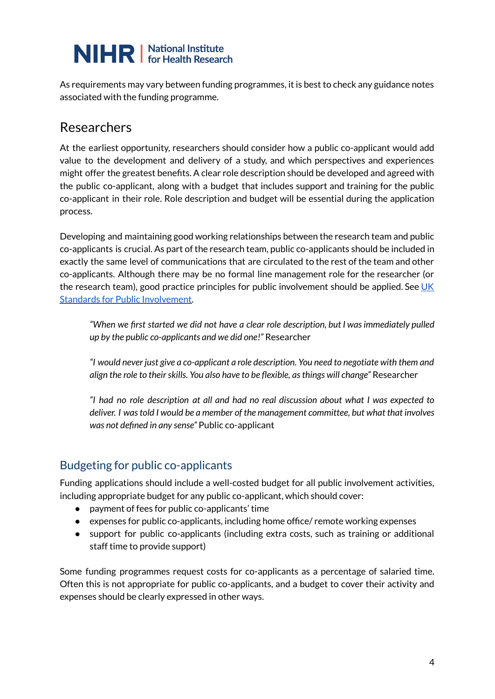As requirements may vary between funding programmes, it is best to check any guidance notes associated with the funding programme.

### Researchers

At the earliest opportunity, researchers should consider how a public co-applicant would add value to the development and delivery of a study, and which perspectives and experiences might offer the greatest benefits. A clear role description should be developed and agreed with the public co-applicant, along with a budget that includes support and training for the public co-applicant in their role. Role description and budget will be essential during the application process.

Developing and maintaining good working relationships between the research team and public co-applicants is crucial. As part of the research team, public co-applicants should be included in exactly the same level of communications that are circulated to the rest of the team and other co-applicants. Although there may be no formal line management role for the researcher (or the research team), good practice principles for public involvement should be applied. See [UK](https://sites.google.com/nihr.ac.uk/pi-standards/home) Standards for Public [Involvement.](https://sites.google.com/nihr.ac.uk/pi-standards/home)

*"When we first started we did not have a clear role description, but I wasimmediately pulled up by the public co-applicants and we did one!"* Researcher

*"I would never just give a co-applicant a role description. You need to negotiate with them and align the role to theirskills. You also have to be flexible, asthings will change"* Researcher

*"I had no role description at all and had no real discussion about what I was expected to deliver. I wastold I would be a member of the management committee, but what that involves was not defined in any sense"* Public co-applicant

#### Budgeting for public co-applicants

Funding applications should include a well-costed budget for all public involvement activities, including appropriate budget for any public co-applicant, which should cover:

- payment of fees for public co-applicants' time
- expenses for public co-applicants, including home office/ remote working expenses
- support for public co-applicants (including extra costs, such as training or additional staff time to provide support)

Some funding programmes request costs for co-applicants as a percentage of salaried time. Often this is not appropriate for public co-applicants, and a budget to cover their activity and expenses should be clearly expressed in other ways.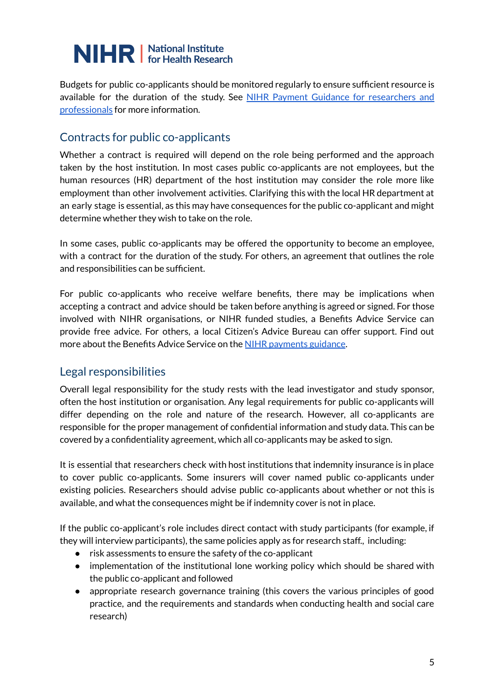Budgets for public co-applicants should be monitored regularly to ensure sufficient resource is available for the duration of the study. See NIHR Payment Guidance for [researchers](https://www.nihr.ac.uk/documents/payment-guidance-for-researchers-and-professionals/27392) and [professionals](https://www.nihr.ac.uk/documents/payment-guidance-for-researchers-and-professionals/27392) for more information.

#### Contracts for public co-applicants

Whether a contract is required will depend on the role being performed and the approach taken by the host institution. In most cases public co-applicants are not employees, but the human resources (HR) department of the host institution may consider the role more like employment than other involvement activities. Clarifying this with the local HR department at an early stage is essential, as this may have consequences for the public co-applicant and might determine whether they wish to take on the role.

In some cases, public co-applicants may be offered the opportunity to become an employee, with a contract for the duration of the study. For others, an agreement that outlines the role and responsibilities can be sufficient.

For public co-applicants who receive welfare benefits, there may be implications when accepting a contract and advice should be taken before anything is agreed or signed. For those involved with NIHR organisations, or NIHR funded studies, a Benefits Advice Service can provide free advice. For others, a local Citizen's Advice Bureau can offer support. Find out more about the Benefits Advice Service on the NIHR [payments](https://www.nihr.ac.uk/documents/payment-guidance-for-researchers-and-professionals/27392) guidance.

#### Legal responsibilities

Overall legal responsibility for the study rests with the lead investigator and study sponsor, often the host institution or organisation. Any legal requirements for public co-applicants will differ depending on the role and nature of the research. However, all co-applicants are responsible for the proper management of confidential information and study data. This can be covered by a confidentiality agreement, which all co-applicants may be asked to sign.

It is essential that researchers check with host institutions that indemnity insurance is in place to cover public co-applicants. Some insurers will cover named public co-applicants under existing policies. Researchers should advise public co-applicants about whether or not this is available, and what the consequences might be if indemnity cover is not in place.

If the public co-applicant's role includes direct contact with study participants (for example, if they will interview participants), the same policies apply as for research staff., including:

- risk assessments to ensure the safety of the co-applicant
- implementation of the institutional lone working policy which should be shared with the public co-applicant and followed
- appropriate research governance training (this covers the various principles of good practice, and the requirements and standards when conducting health and social care research)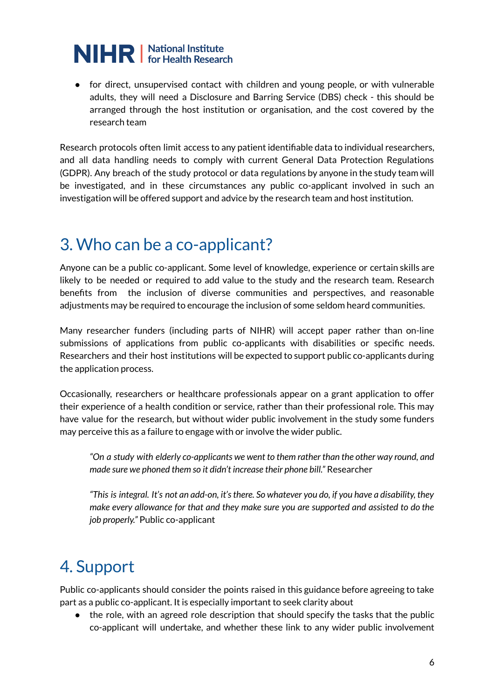● for direct, unsupervised contact with children and young people, or with vulnerable adults, they will need a Disclosure and Barring Service (DBS) check - this should be arranged through the host institution or organisation, and the cost covered by the research team

Research protocols often limit access to any patient identifiable data to individual researchers, and all data handling needs to comply with current General Data Protection Regulations (GDPR). Any breach of the study protocol or data regulations by anyone in the study team will be investigated, and in these circumstances any public co-applicant involved in such an investigation will be offered support and advice by the research team and host institution.

### 3. Who can be a co-applicant?

Anyone can be a public co-applicant. Some level of knowledge, experience or certain skills are likely to be needed or required to add value to the study and the research team. Research benefits from the inclusion of diverse communities and perspectives, and reasonable adjustments may be required to encourage the inclusion of some seldom heard communities.

Many researcher funders (including parts of NIHR) will accept paper rather than on-line submissions of applications from public co-applicants with disabilities or specific needs. Researchers and their host institutions will be expected to support public co-applicants during the application process.

Occasionally, researchers or healthcare professionals appear on a grant application to offer their experience of a health condition or service, rather than their professional role. This may have value for the research, but without wider public involvement in the study some funders may perceive this as a failure to engage with or involve the wider public.

*"On a study with elderly co-applicants we went to them rather than the other way round, and made sure we phoned them so it didn't increase their phone bill."* Researcher

"This is integral. It's not an add-on, it's there. So whatever you do, if you have a disability, they *make every allowance for that and they make sure you are supported and assisted to do the job properly."* Public co-applicant

### 4. Support

Public co-applicants should consider the points raised in this guidance before agreeing to take part as a public co-applicant. It is especially important to seek clarity about

• the role, with an agreed role description that should specify the tasks that the public co-applicant will undertake, and whether these link to any wider public involvement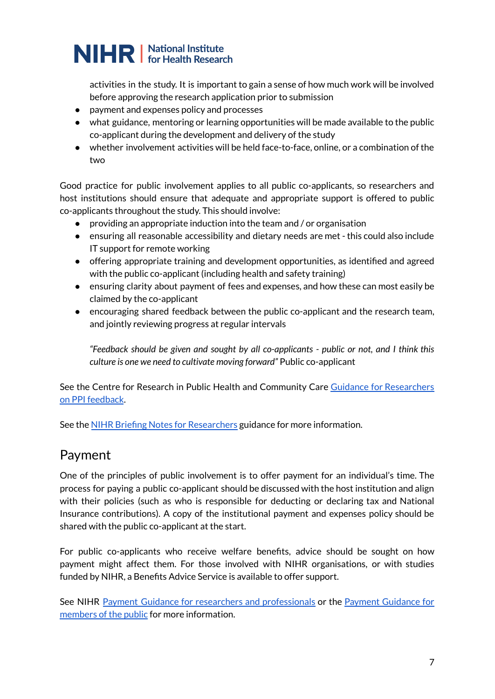activities in the study. It is important to gain a sense of how much work will be involved before approving the research application prior to submission

- payment and expenses policy and processes
- what guidance, mentoring or learning opportunities will be made available to the public co-applicant during the development and delivery of the study
- whether involvement activities will be held face-to-face, online, or a combination of the two

Good practice for public involvement applies to all public co-applicants, so researchers and host institutions should ensure that adequate and appropriate support is offered to public co-applicants throughout the study. This should involve:

- providing an appropriate induction into the team and / or organisation
- ensuring all reasonable accessibility and dietary needs are met this could also include IT support for remote working
- offering appropriate training and development opportunities, as identified and agreed with the public co-applicant (including health and safety training)
- ensuring clarity about payment of fees and expenses, and how these can most easily be claimed by the co-applicant
- encouraging shared feedback between the public co-applicant and the research team, and jointly reviewing progress at regular intervals

*"Feedback should be given and sought by all co-applicants - public or not, and I think this culture is one we need to cultivate moving forward"* Public co-applicant

See the Centre for Research in Public Health and Community Care Guidance for [Researchers](https://www.clahrc-eoe.nihr.ac.uk/wp-content/uploads/2016/05/Guidance-for-Researchers-PPI-Feedback_2018.pdf) on PPI [feedback](https://www.clahrc-eoe.nihr.ac.uk/wp-content/uploads/2016/05/Guidance-for-Researchers-PPI-Feedback_2018.pdf).

See the NIHR Briefing Notes for [Researchers](https://www.nihr.ac.uk/documents/briefing-notes-for-researchers-public-involvement-in-nhs-health-and-social-care-research/27371) guidance for more information.

#### Payment

One of the principles of public involvement is to offer payment for an individual's time. The process for paying a public co-applicant should be discussed with the host institution and align with their policies (such as who is responsible for deducting or declaring tax and National Insurance contributions). A copy of the institutional payment and expenses policy should be shared with the public co-applicant at the start.

For public co-applicants who receive welfare benefits, advice should be sought on how payment might affect them. For those involved with NIHR organisations, or with studies funded by NIHR, a Benefits Advice Service is available to offer support.

See NIHR Payment Guidance for researchers and [professionals](https://www.nihr.ac.uk/documents/payment-guidance-for-researchers-and-professionals/27392) or the Payment [Guidance](https://www.nihr.ac.uk/documents/payment-guidance-for-members-of-the-public-considering-involvement-in-research/27372) for [members](https://www.nihr.ac.uk/documents/payment-guidance-for-members-of-the-public-considering-involvement-in-research/27372) of the public for more information.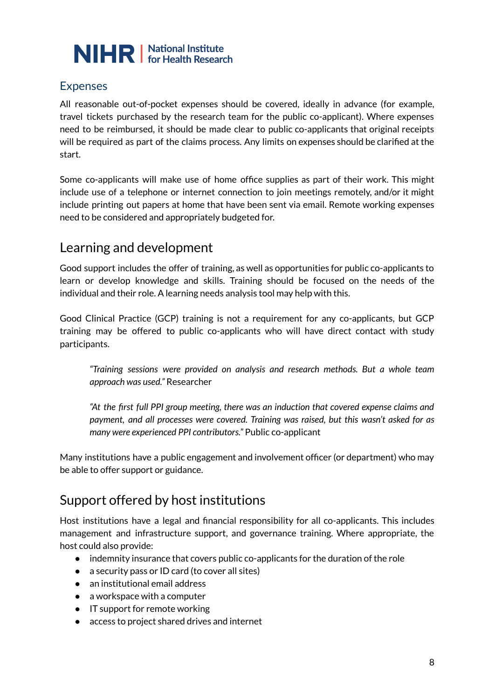

#### Expenses

All reasonable out-of-pocket expenses should be covered, ideally in advance (for example, travel tickets purchased by the research team for the public co-applicant). Where expenses need to be reimbursed, it should be made clear to public co-applicants that original receipts will be required as part of the claims process. Any limits on expenses should be clarified at the start.

Some co-applicants will make use of home office supplies as part of their work. This might include use of a telephone or internet connection to join meetings remotely, and/or it might include printing out papers at home that have been sent via email. Remote working expenses need to be considered and appropriately budgeted for.

### Learning and development

Good support includes the offer of training, as well as opportunities for public co-applicants to learn or develop knowledge and skills. Training should be focused on the needs of the individual and their role. A learning needs analysis tool may help with this.

Good Clinical Practice (GCP) training is not a requirement for any co-applicants, but GCP training may be offered to public co-applicants who will have direct contact with study participants.

*"Training sessions were provided on analysis and research methods. But a whole team approach was used."* Researcher

*"At the first full PPI group meeting, there was an induction that covered expense claims and payment, and all processes were covered. Training was raised, but this wasn't asked for as many were experienced PPI contributors."* Public co-applicant

Many institutions have a public engagement and involvement officer (or department) who may be able to offer support or guidance.

### Support offered by host institutions

Host institutions have a legal and financial responsibility for all co-applicants. This includes management and infrastructure support, and governance training. Where appropriate, the host could also provide:

- indemnity insurance that covers public co-applicants for the duration of the role
- a security pass or ID card (to cover all sites)
- an institutional email address
- $\bullet$  a workspace with a computer
- IT support for remote working
- access to project shared drives and internet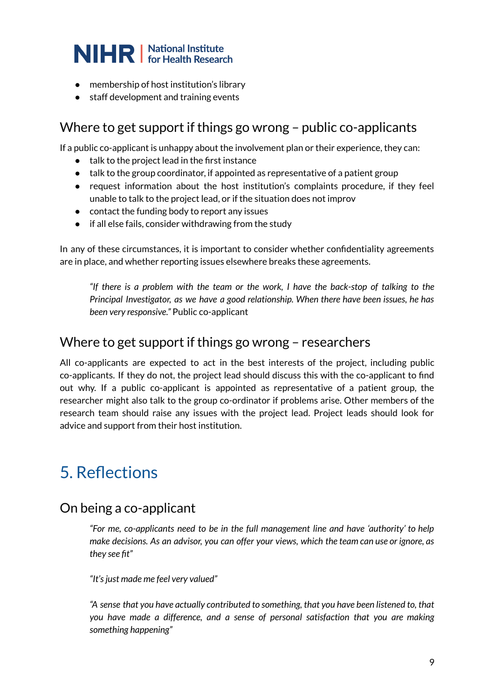- membership of host institution's library
- staff development and training events

#### Where to get support if things go wrong – public co-applicants

If a public co-applicant is unhappy about the involvement plan or their experience, they can:

- talk to the project lead in the first instance
- talk to the group coordinator, if appointed as representative of a patient group
- request information about the host institution's complaints procedure, if they feel unable to talk to the project lead, or if the situation does not improv
- contact the funding body to report any issues
- if all else fails, consider withdrawing from the study

In any of these circumstances, it is important to consider whether confidentiality agreements are in place, and whether reporting issues elsewhere breaks these agreements.

*"If there is a problem with the team or the work, I have the back-stop of talking to the Principal Investigator, as we have a good relationship. When there have been issues, he has been very responsive."* Public co-applicant

#### Where to get support if things go wrong – researchers

All co-applicants are expected to act in the best interests of the project, including public co-applicants. If they do not, the project lead should discuss this with the co-applicant to find out why. If a public co-applicant is appointed as representative of a patient group, the researcher might also talk to the group co-ordinator if problems arise. Other members of the research team should raise any issues with the project lead. Project leads should look for advice and support from their host institution.

### 5. Reflections

#### On being a co-applicant

*"For me, co-applicants need to be in the full management line and have 'authority' to help make decisions. As an advisor, you can offer your views, which the team can use or ignore, as they see fit"*

*"It'sjust made me feel very valued"*

*"A sense that you have actually contributed to something, that you have been listened to, that you have made a difference, and a sense of personal satisfaction that you are making something happening"*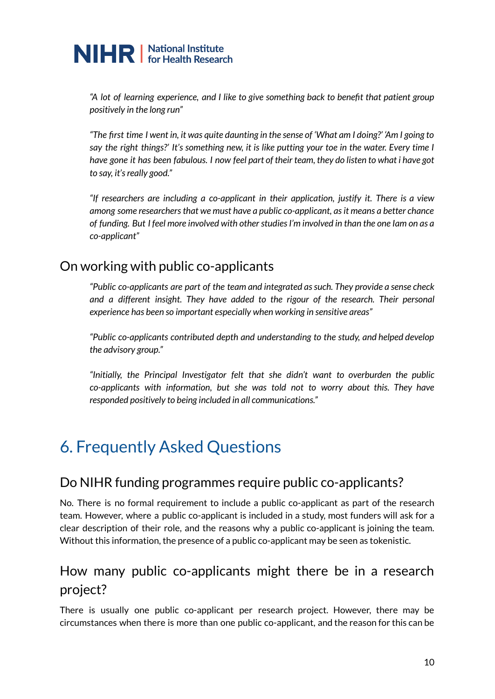*"A lot of learning experience, and I like to give something back to benefit that patient group positively in the long run"*

"The first time I went in, it was quite daunting in the sense of 'What am I doing?' 'Am I going to say the right things?' It's something new, it is like putting your toe in the water. Every time I have gone it has been fabulous. I now feel part of their team, they do listen to what i have got *to say, it'sreally good."*

*"If researchers are including a co-applicant in their application, justify it. There is a view among some researchersthat we must have a public co-applicant, asit means a better chance of funding. But I feel more involved with otherstudiesI'm involved in than the one Iam on as a co-applicant"*

### On working with public co-applicants

*"Public co-applicants are part of the team and integrated assuch. They provide a sense check and a different insight. They have added to the rigour of the research. Their personal experience has been so important especially when working in sensitive areas"*

*"Public co-applicants contributed depth and understanding to the study, and helped develop the advisory group."*

*"Initially, the Principal Investigator felt that she didn't want to overburden the public co-applicants with information, but she was told not to worry about this. They have responded positively to being included in all communications."*

## 6. Frequently Asked Questions

### Do NIHR funding programmes require public co-applicants?

No. There is no formal requirement to include a public co-applicant as part of the research team. However, where a public co-applicant is included in a study, most funders will ask for a clear description of their role, and the reasons why a public co-applicant is joining the team. Without this information, the presence of a public co-applicant may be seen as tokenistic.

### How many public co-applicants might there be in a research project?

There is usually one public co-applicant per research project. However, there may be circumstances when there is more than one public co-applicant, and the reason for this can be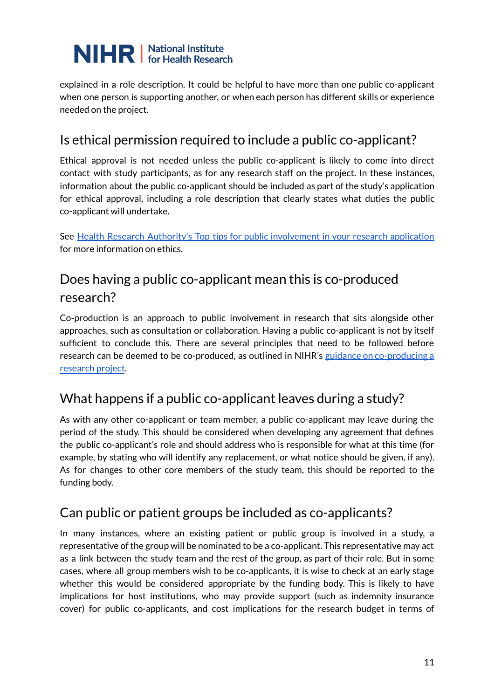explained in a role description. It could be helpful to have more than one public co-applicant when one person is supporting another, or when each person has different skills or experience needed on the project.

### Is ethical permission required to include a public co-applicant?

Ethical approval is not needed unless the public co-applicant is likely to come into direct contact with study participants, as for any research staff on the project. In these instances, information about the public co-applicant should be included as part of the study's application for ethical approval, including a role description that clearly states what duties the public co-applicant will undertake.

See Health Research Authority's Top tips for public [involvement](https://www.hra.nhs.uk/planning-and-improving-research/best-practice/public-involvement/) in your research application for more information on ethics.

### Does having a public co-applicant mean this is co-produced research?

Co-production is an approach to public involvement in research that sits alongside other approaches, such as consultation or collaboration. Having a public co-applicant is not by itself sufficient to conclude this. There are several principles that need to be followed before research can be deemed to be co-produced, as outlined in NIHR's guidance on [co-producing](https://www.learningforinvolvement.org.uk/?opportunity=nihr-guidance-on-co-producing-a-research-project) a [research](https://www.learningforinvolvement.org.uk/?opportunity=nihr-guidance-on-co-producing-a-research-project) project.

### What happens if a public co-applicant leaves during a study?

As with any other co-applicant or team member, a public co-applicant may leave during the period of the study. This should be considered when developing any agreement that defines the public co-applicant's role and should address who is responsible for what at this time (for example, by stating who will identify any replacement, or what notice should be given, if any). As for changes to other core members of the study team, this should be reported to the funding body.

### Can public or patient groups be included as co-applicants?

In many instances, where an existing patient or public group is involved in a study, a representative of the group will be nominated to be a co-applicant. This representative may act as a link between the study team and the rest of the group, as part of their role. But in some cases, where all group members wish to be co-applicants, it is wise to check at an early stage whether this would be considered appropriate by the funding body. This is likely to have implications for host institutions, who may provide support (such as indemnity insurance cover) for public co-applicants, and cost implications for the research budget in terms of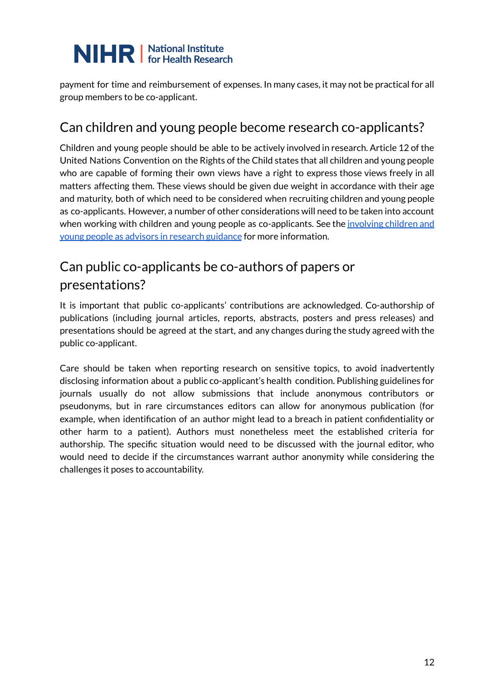payment for time and reimbursement of expenses. In many cases, it may not be practical for all group members to be co-applicant.

### Can children and young people become research co-applicants?

Children and young people should be able to be actively involved in research. Article 12 of the United Nations Convention on the Rights of the Child states that all children and young people who are capable of forming their own views have a right to express those views freely in all matters affecting them. These views should be given due weight in accordance with their age and maturity, both of which need to be considered when recruiting children and young people as co-applicants. However, a number of other considerations will need to be taken into account when working with children and young people as co-applicants. See the [involving](https://www.learningforinvolvement.org.uk/?opportunity=nihr-involving-children-and-young-people-as-advisors-in-research) children and young people as advisors in research [guidance](https://www.learningforinvolvement.org.uk/?opportunity=nihr-involving-children-and-young-people-as-advisors-in-research) for more information.

### Can public co-applicants be co-authors of papers or presentations?

It is important that public co-applicants' contributions are acknowledged. Co-authorship of publications (including journal articles, reports, abstracts, posters and press releases) and presentations should be agreed at the start, and any changes during the study agreed with the public co-applicant.

Care should be taken when reporting research on sensitive topics, to avoid inadvertently disclosing information about a public co-applicant's health condition. Publishing guidelines for journals usually do not allow submissions that include anonymous contributors or pseudonyms, but in rare circumstances editors can allow for anonymous publication (for example, when identification of an author might lead to a breach in patient confidentiality or other harm to a patient). Authors must nonetheless meet the established criteria for authorship. The specific situation would need to be discussed with the journal editor, who would need to decide if the circumstances warrant author anonymity while considering the challenges it poses to accountability.